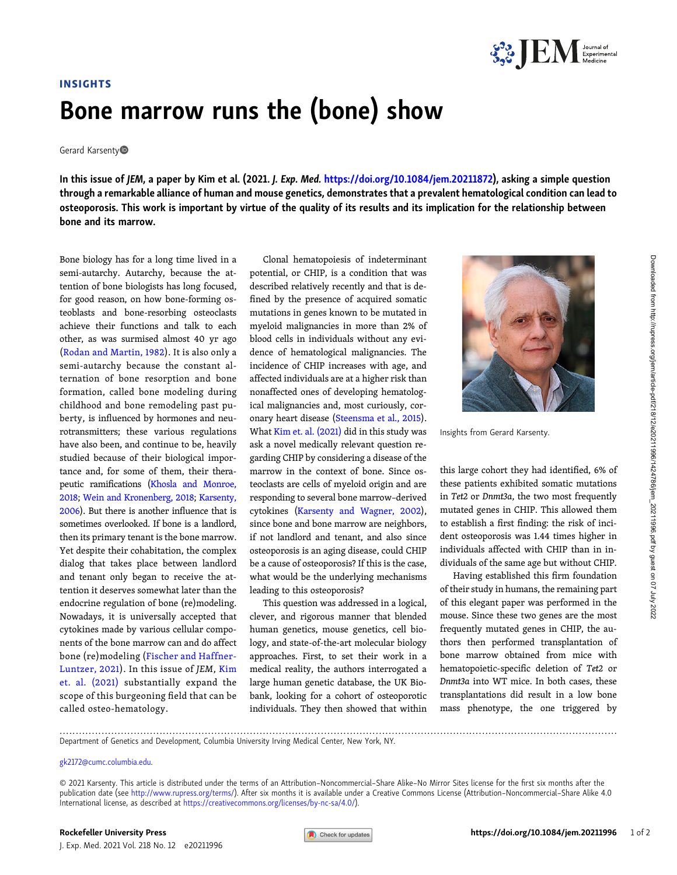

## INSIGHTS Bone marrow runs the (bone) show

Gerard Karsenty<sup>®</sup>

In this issue of JEM, a paper by Kim et al. (2021. J. Exp. Med. [https://doi.org/10.1084/jem.20211872\)](https://doi.org/10.1084/jem.20211872), asking a simple question through a remarkable alliance of human and mouse genetics, demonstrates that a prevalent hematological condition can lead to osteoporosis. This work is important by virtue of the quality of its results and its implication for the relationship between bone and its marrow.

Bone biology has for a long time lived in a semi-autarchy. Autarchy, because the attention of bone biologists has long focused, for good reason, on how bone-forming osteoblasts and bone-resorbing osteoclasts achieve their functions and talk to each other, as was surmised almost 40 yr ago [\(Rodan and Martin, 1982\)](#page-1-0). It is also only a semi-autarchy because the constant alternation of bone resorption and bone formation, called bone modeling during childhood and bone remodeling past puberty, is influenced by hormones and neurotransmitters; these various regulations have also been, and continue to be, heavily studied because of their biological importance and, for some of them, their therapeutic ramifications [\(Khosla and Monroe,](#page-1-0) [2018](#page-1-0); [Wein and Kronenberg, 2018](#page-1-0); [Karsenty,](#page-1-0) [2006](#page-1-0)). But there is another influence that is sometimes overlooked. If bone is a landlord, then its primary tenant is the bone marrow. Yet despite their cohabitation, the complex dialog that takes place between landlord and tenant only began to receive the attention it deserves somewhat later than the endocrine regulation of bone (re)modeling. Nowadays, it is universally accepted that cytokines made by various cellular components of the bone marrow can and do affect bone (re)modeling [\(Fischer and Haffner-](#page-1-0)[Luntzer, 2021](#page-1-0)). In this issue of JEM, [Kim](#page-1-0) [et. al. \(2021\)](#page-1-0) substantially expand the scope of this burgeoning field that can be called osteo-hematology.

Clonal hematopoiesis of indeterminant potential, or CHIP, is a condition that was described relatively recently and that is defined by the presence of acquired somatic mutations in genes known to be mutated in myeloid malignancies in more than 2% of blood cells in individuals without any evidence of hematological malignancies. The incidence of CHIP increases with age, and affected individuals are at a higher risk than nonaffected ones of developing hematological malignancies and, most curiously, coronary heart disease ([Steensma et al., 2015\)](#page-1-0). What [Kim et. al. \(2021\)](#page-1-0) did in this study was ask a novel medically relevant question regarding CHIP by considering a disease of the marrow in the context of bone. Since osteoclasts are cells of myeloid origin and are responding to several bone marrow–derived cytokines [\(Karsenty and Wagner, 2002\)](#page-1-0), since bone and bone marrow are neighbors, if not landlord and tenant, and also since osteoporosis is an aging disease, could CHIP be a cause of osteoporosis? If this is the case, what would be the underlying mechanisms leading to this osteoporosis?

This question was addressed in a logical, clever, and rigorous manner that blended human genetics, mouse genetics, cell biology, and state-of-the-art molecular biology approaches. First, to set their work in a medical reality, the authors interrogated a large human genetic database, the UK Biobank, looking for a cohort of osteoporotic individuals. They then showed that within



Insights from Gerard Karsenty.

this large cohort they had identified, 6% of these patients exhibited somatic mutations in Tet2 or Dnmt3a, the two most frequently mutated genes in CHIP. This allowed them to establish a first finding: the risk of incident osteoporosis was 1.44 times higher in individuals affected with CHIP than in individuals of the same age but without CHIP.

Having established this firm foundation of their study in humans, the remaining part of this elegant paper was performed in the mouse. Since these two genes are the most frequently mutated genes in CHIP, the authors then performed transplantation of bone marrow obtained from mice with hematopoietic-specific deletion of Tet2 or Dnmt3a into WT mice. In both cases, these transplantations did result in a low bone mass phenotype, the one triggered by

.............................................................................................................................................................................

Department of Genetics and Development, Columbia University Irving Medical Center, New York, NY.

## [gk2172@cumc.columbia.edu](mailto:gk2172@cumc.columbia.edu).

© 2021 Karsenty. This article is distributed under the terms of an Attribution–Noncommercial–Share Alike–No Mirror Sites license for the first six months after the publication date (see [http://www.rupress.org/terms/\)](http://www.rupress.org/terms/). After six months it is available under a Creative Commons License (Attribution-Noncommercial-Share Alike 4.0 International license, as described at <https://creativecommons.org/licenses/by-nc-sa/4.0/>).